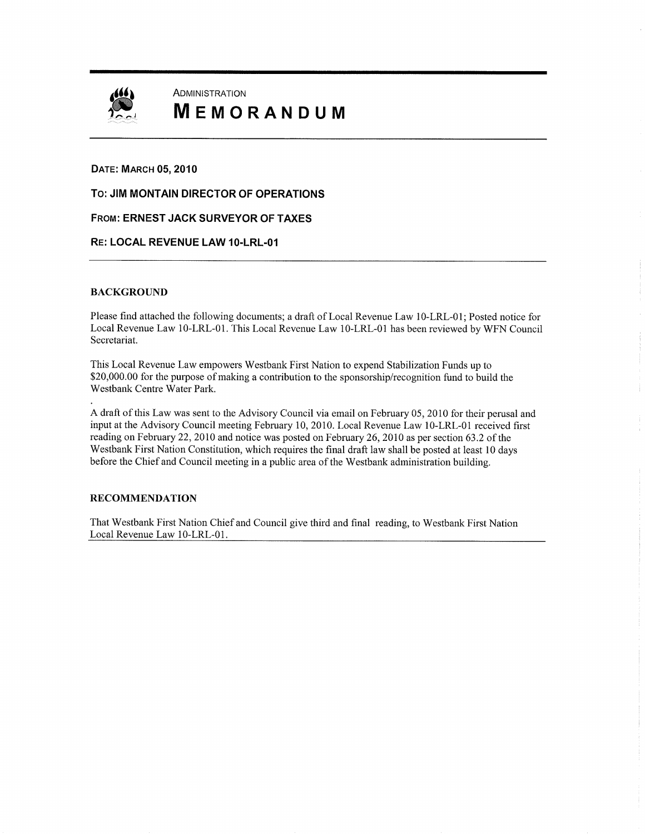

# **ADMINISTRATION** MEMORANDUM

### DATE: MARCH 05, 2010

To: JIM MONTAIN DIRECTOR of OPERATIONS

FROM: ERNEST JACK SURVEYOR of TAXES

### RE: LOCAL REVENUE LAW 10-LRL-01

### BACKGROUND

Please find attached the following documents; a draft of Local Revenue Law 10 -LRL -01; Posted notice for Local Revenue Law 10-LRL-01. This Local Revenue Law 10-LRL-01 has been reviewed by WFN Council Secretariat.

This Local Revenue Law empowers Westbank First Nation to expend Stabilization Funds up to \$20,000.00 for the purpose of making a contribution to the sponsorship/recognition fund to build the Westbank Centre Water Park.

A draft of this Law was sent to the Advisory Council via email on February 05, 2010 for their perusal and input at the Advisory Council meeting February 10, 2010. Local Revenue Law 10 -LRL -01 received first reading on February 22, 2010 and notice was posted on February 26, 2010 as per section 63.2 of the Westbank First Nation Constitution, which requires the final draft law shall be posted at least 10 days before the Chief and Council meeting in <sup>a</sup> public area of the Westbank administration building.

### RECOMMENDATION

That Westbank First Nation Chief and Council give third and final reading, to Westbank First Nation Local Revenue Law 10-LRL-01.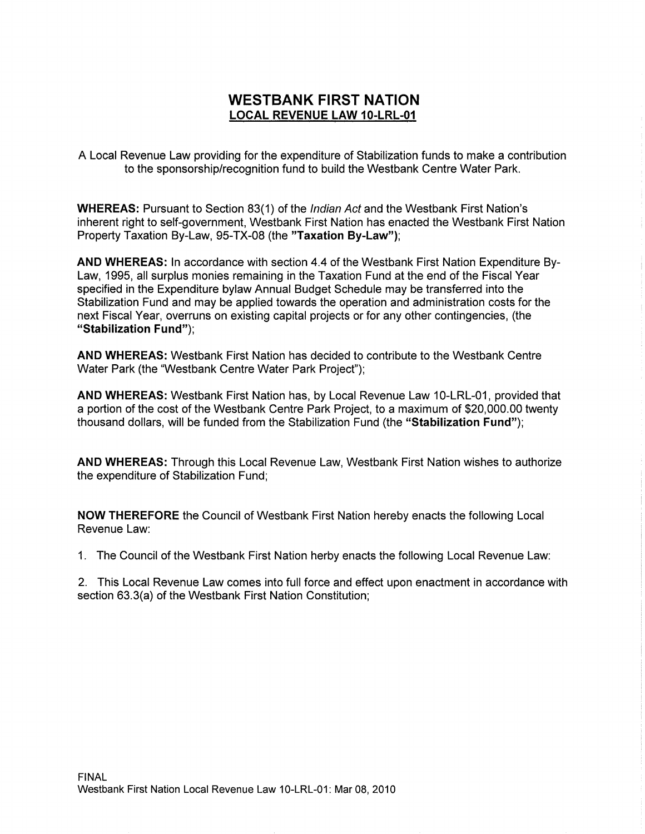# WESTBANK FIRST NATION LOCAL REVENUE LAW 10-LRL-01

A Local Revenue Law providing for the expenditure of Stabilization funds to make a contribution to the sponsorship/recognition fund to build the Westbank Centre Water Park.

WHEREAS: Pursuant to Section 83(1) of the Indian Act and the Westbank First Nation's inherent right to self-government, Westbank First Nation has enacted the Westbank First Nation Property Taxation By-Law, 95-TX-08 (the "Taxation By-Law");

AND WHEREAS: In accordance with section 4.4 of the Westbank First Nation Expenditure By-Law, 1995, all surplus monies remaining in the Taxation Fund at the end of the Fiscal Year specified in the Expenditure bylaw Annual Budget Schedule may be transferred into the Stabilization Fund and may be applied towards the operation and administration costs for the next Fiscal Year, overruns on existing capital projects or for any other contingencies, (the "Stabilization Fund");

AND WHEREAS: Westbank First Nation has decided to contribute to the Westbank Centre Water Park (the "Westbank Centre Water Park Project");

AND WHEREAS: Westbank First Nation has, by Local Revenue Law 10-LRL-01, provided that AND WHEREAS: Westbank First Nation has, by Local Revenue Law 10-LRL-01, provided that<br>a portion of the cost of the Westbank Centre Park Project, to a maximum of \$20,000.00 twenty<br>thousand dollars, will be funded from the S thousand dollars, will be funded from the Stabilization Fund (the "Stabilization Fund");

AND WHEREAS: Through this Local Revenue Law, Westbank First Nation wishes to authorize the expenditure of Stabilization Fund;

NOW THEREFORE the Council of Westbank First Nation hereby enacts the following Local Revenue Law:

1. The Council of the Westbank First Nation herby enacts the following Local Revenue Law:

2. This Local Revenue Law comes into full force and effect upon enactment in accordance with 1. The Council of the Westbank First Nation herby enact:<br>2. This Local Revenue Law comes into full force and effe<br>section 63.3(a) of the Westbank First Nation Constitution;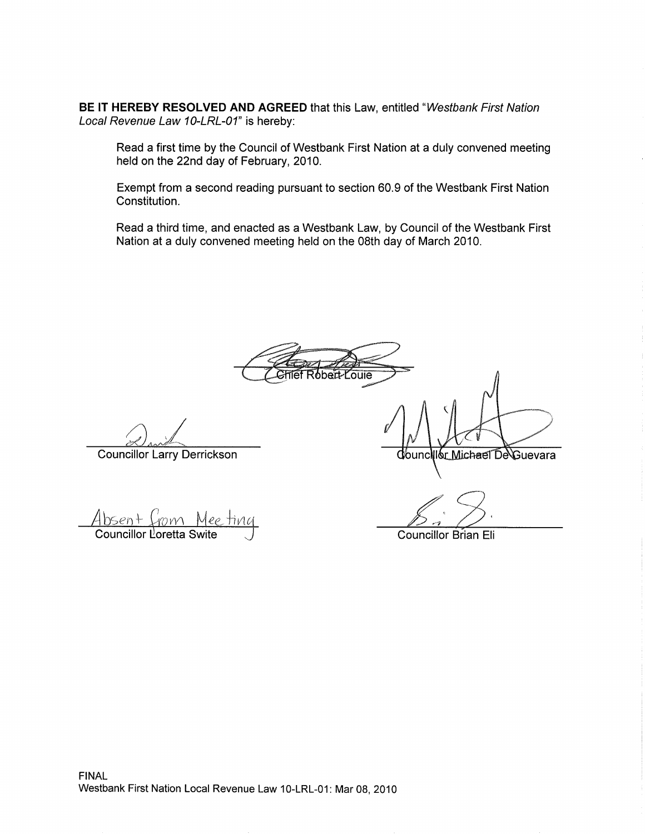BE IT HEREBY RESOLVED AND AGREED that this Law, entitled "Westbank First Nation Local Revenue Law 10-LRL-01" is hereby:

Read a first time by the council of Westbank First Nation at a duly convened meeting held on the 22nd day of February, 2010.

Exempt from a second reading pursuant to section 60.9 of the Westbank First Nation Constitution.

Read a third time, and enacted as a Westbank Law, by council of the Westbank First Nation at a duly convened meeting held on the 08th day of March 2010.

**Comment** 

Councillor Larry Derrickson

G,  $\frac{1}{1000}$ Councillor Loretta Swite

Councillor Brian Eli

Ilór Michael De∖Guevara

**d**/ouncl